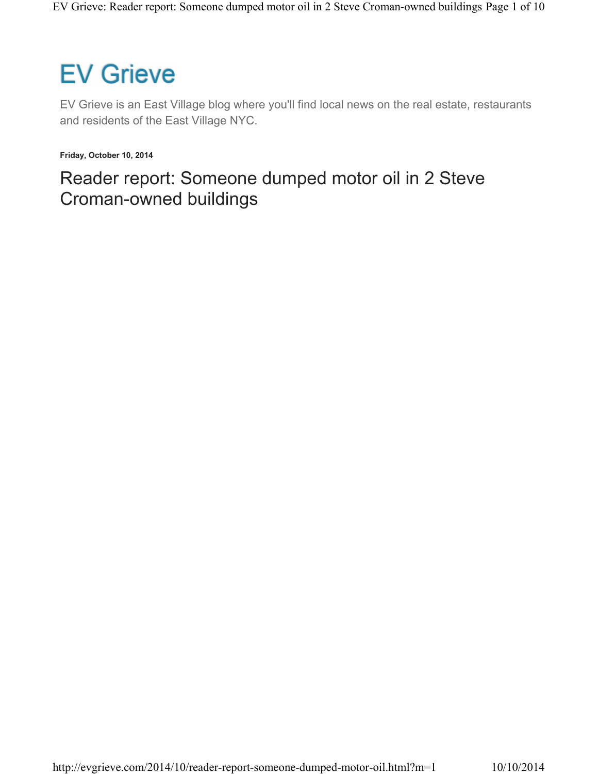# **EV Grieve**

EV Grieve is an East Village blog where you'll find local news on the real estate, restaurants and residents of the East Village NYC.

**Friday, October 10, 2014**

Reader report: Someone dumped motor oil in 2 Steve Croman-owned buildings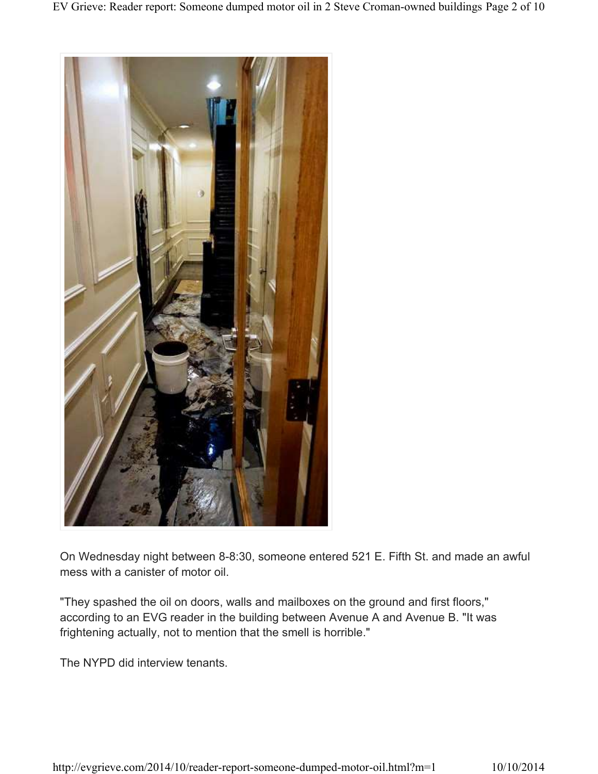

On Wednesday night between 8-8:30, someone entered 521 E. Fifth St. and made an awful mess with a canister of motor oil.

"They spashed the oil on doors, walls and mailboxes on the ground and first floors," according to an EVG reader in the building between Avenue A and Avenue B. "It was frightening actually, not to mention that the smell is horrible."

The NYPD did interview tenants.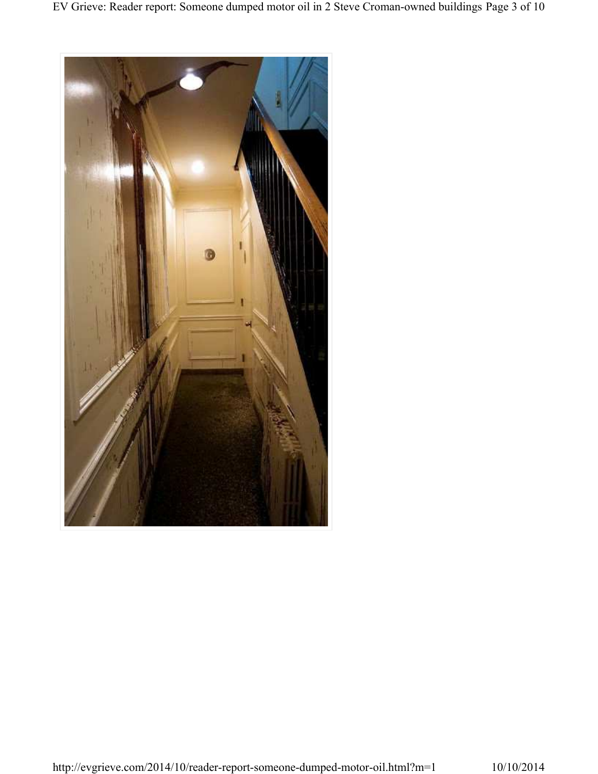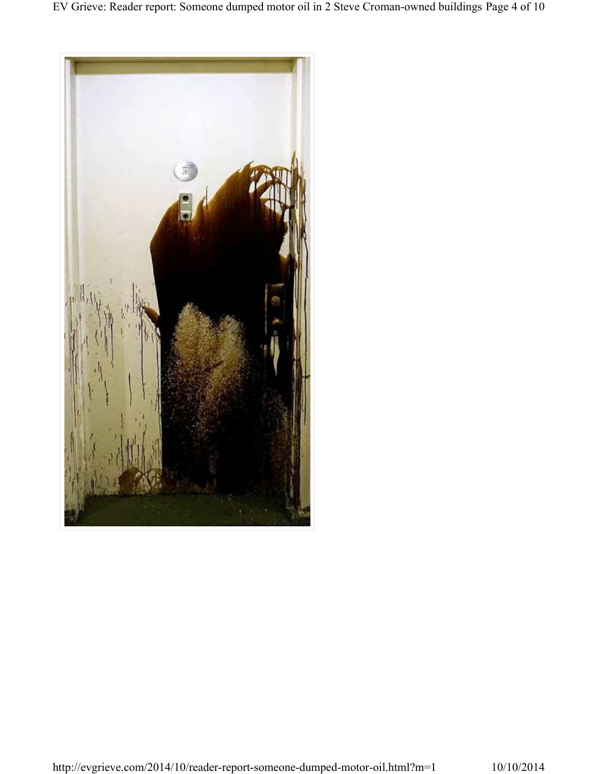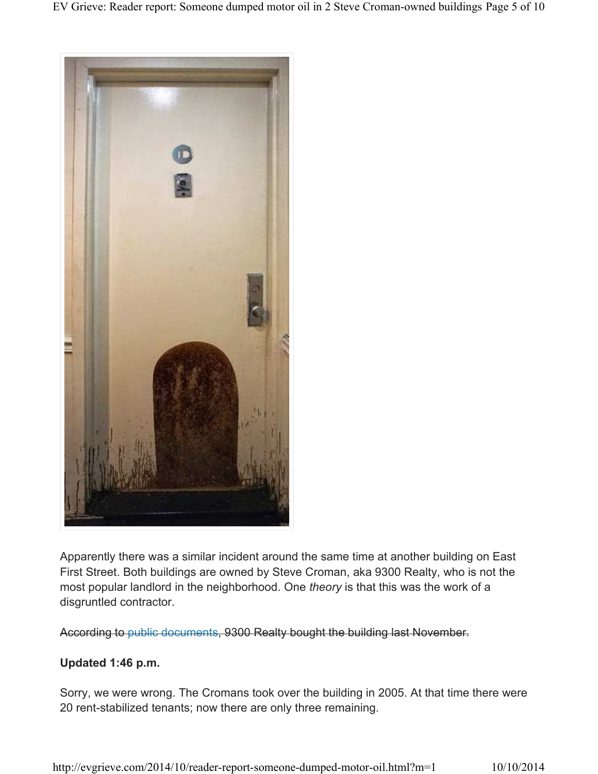

Apparently there was a similar incident around the same time at another building on East First Street. Both buildings are owned by Steve Croman, aka 9300 Realty, who is not the most popular landlord in the neighborhood. One *theory* is that this was the work of a disgruntled contractor.

According to public documents, 9300 Realty bought the building last November.

## **Updated 1:46 p.m.**

Sorry, we were wrong. The Cromans took over the building in 2005. At that time there were 20 rent-stabilized tenants; now there are only three remaining.

http://evgrieve.com/2014/10/reader-report-someone-dumped-motor-oil.html?m=1 10/10/2014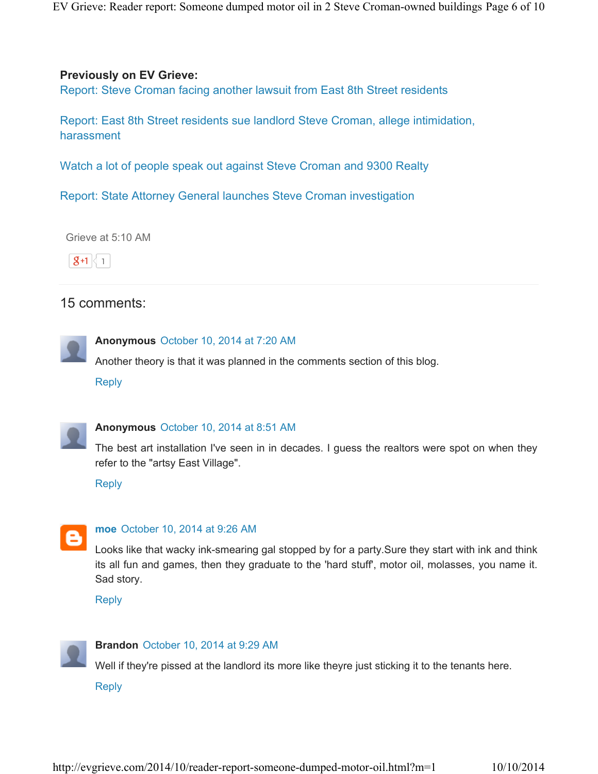EV Grieve: Reader report: Someone dumped motor oil in 2 Steve Croman-owned buildings Page 6 of 10

## **Previously on EV Grieve:**

Report: Steve Croman facing another lawsuit from East 8th Street residents

Report: East 8th Street residents sue landlord Steve Croman, allege intimidation, harassment

Watch a lot of people speak out against Steve Croman and 9300 Realty

Report: State Attorney General launches Steve Croman investigation

Grieve at 5:10 AM

 $8+1$  |  $\vert$  1

## 15 comments:

**Anonymous** October 10, 2014 at 7:20 AM

Another theory is that it was planned in the comments section of this blog.

Reply



## **Anonymous** October 10, 2014 at 8:51 AM

The best art installation I've seen in in decades. I guess the realtors were spot on when they refer to the "artsy East Village".

Reply



## **moe** October 10, 2014 at 9:26 AM

Looks like that wacky ink-smearing gal stopped by for a party.Sure they start with ink and think its all fun and games, then they graduate to the 'hard stuff', motor oil, molasses, you name it. Sad story.

Reply



#### **Brandon** October 10, 2014 at 9:29 AM

Well if they're pissed at the landlord its more like theyre just sticking it to the tenants here. **Reply**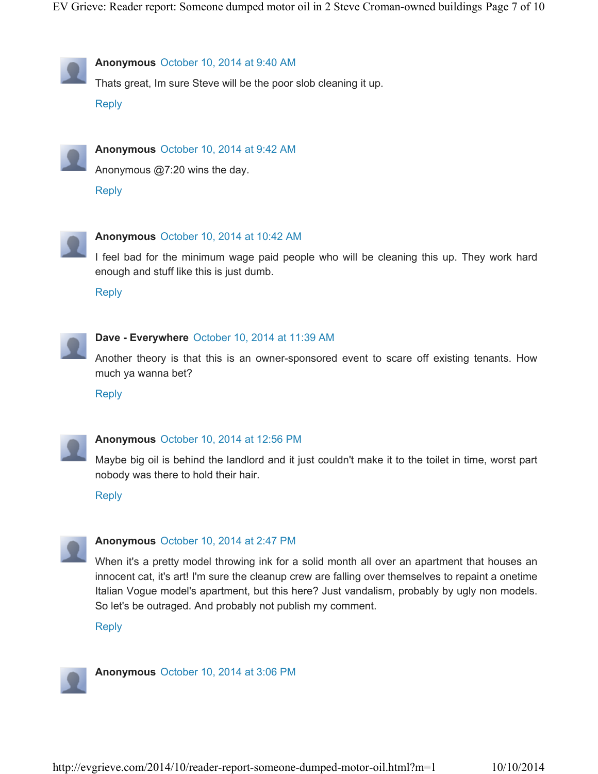

**Anonymous** October 10, 2014 at 9:40 AM

Thats great, Im sure Steve will be the poor slob cleaning it up. Reply



**Anonymous** October 10, 2014 at 9:42 AM

Anonymous @7:20 wins the day.

Reply



## **Anonymous** October 10, 2014 at 10:42 AM

I feel bad for the minimum wage paid people who will be cleaning this up. They work hard enough and stuff like this is just dumb.

Reply



### **Dave - Everywhere** October 10, 2014 at 11:39 AM

Another theory is that this is an owner-sponsored event to scare off existing tenants. How much ya wanna bet?

Reply



## **Anonymous** October 10, 2014 at 12:56 PM

Maybe big oil is behind the landlord and it just couldn't make it to the toilet in time, worst part nobody was there to hold their hair.

Reply



## **Anonymous** October 10, 2014 at 2:47 PM

When it's a pretty model throwing ink for a solid month all over an apartment that houses an innocent cat, it's art! I'm sure the cleanup crew are falling over themselves to repaint a onetime Italian Vogue model's apartment, but this here? Just vandalism, probably by ugly non models. So let's be outraged. And probably not publish my comment.

Reply



**Anonymous** October 10, 2014 at 3:06 PM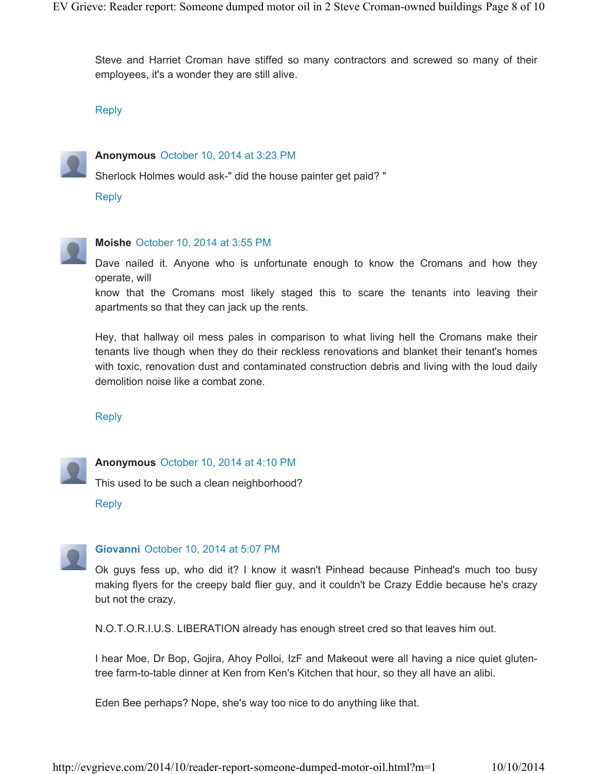Steve and Harriet Croman have stiffed so many contractors and screwed so many of their employees, it's a wonder they are still alive.

#### Reply



#### **Anonymous** October 10, 2014 at 3:23 PM

Sherlock Holmes would ask-" did the house painter get paid? "

Reply



#### **Moishe** October 10, 2014 at 3:55 PM

Dave nailed it. Anyone who is unfortunate enough to know the Cromans and how they operate, will

know that the Cromans most likely staged this to scare the tenants into leaving their apartments so that they can jack up the rents.

Hey, that hallway oil mess pales in comparison to what living hell the Cromans make their tenants live though when they do their reckless renovations and blanket their tenant's homes with toxic, renovation dust and contaminated construction debris and living with the loud daily demolition noise like a combat zone.

#### Reply

**Anonymous** October 10, 2014 at 4:10 PM

This used to be such a clean neighborhood?

Reply



#### **Giovanni** October 10, 2014 at 5:07 PM

Ok guys fess up, who did it? I know it wasn't Pinhead because Pinhead's much too busy making flyers for the creepy bald flier guy, and it couldn't be Crazy Eddie because he's crazy but not the crazy,

N.O.T.O.R.I.U.S. LIBERATION already has enough street cred so that leaves him out.

I hear Moe, Dr Bop, Gojira, Ahoy Polloi, IzF and Makeout were all having a nice quiet glutentree farm-to-table dinner at Ken from Ken's Kitchen that hour, so they all have an alibi.

Eden Bee perhaps? Nope, she's way too nice to do anything like that.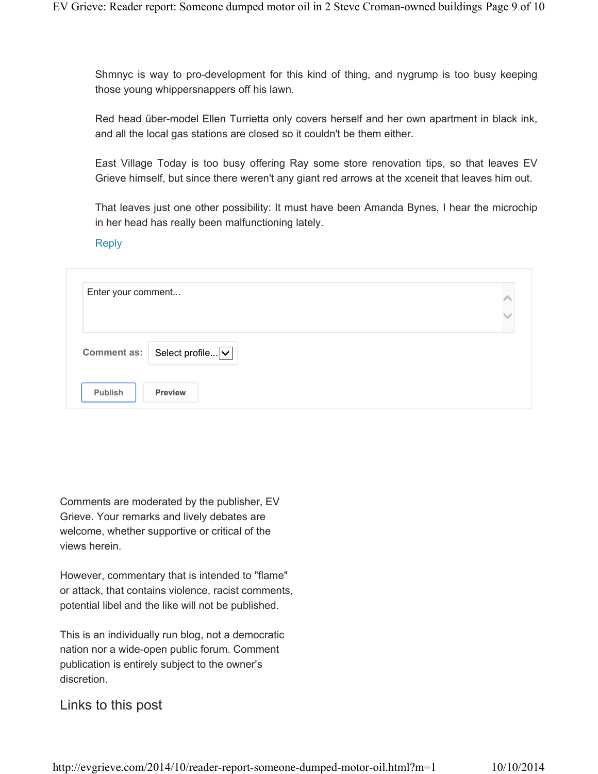Shmnyc is way to pro-development for this kind of thing, and nygrump is too busy keeping those young whippersnappers off his lawn.

Red head über-model Ellen Turrietta only covers herself and her own apartment in black ink, and all the local gas stations are closed so it couldn't be them either.

East Village Today is too busy offering Ray some store renovation tips, so that leaves EV Grieve himself, but since there weren't any giant red arrows at the xceneit that leaves him out.

That leaves just one other possibility: It must have been Amanda Bynes, I hear the microchip in her head has really been malfunctioning lately.

#### Reply

| Enter your comment |                                                                                  |  |
|--------------------|----------------------------------------------------------------------------------|--|
|                    |                                                                                  |  |
|                    | Comment as: $\left  \right.$ Select profile $\left  \right. \vee \left  \right.$ |  |
| Publish            | <b>Preview</b>                                                                   |  |

Comments are moderated by the publisher, EV Grieve. Your remarks and lively debates are welcome, whether supportive or critical of the views herein.

However, commentary that is intended to "flame" or attack, that contains violence, racist comments, potential libel and the like will not be published.

This is an individually run blog, not a democratic nation nor a wide-open public forum. Comment publication is entirely subject to the owner's discretion.

Links to this post